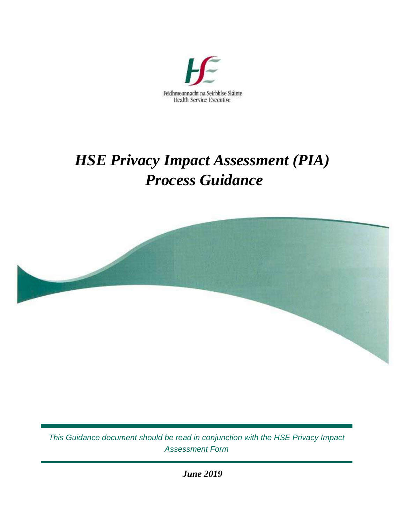

# *HSE Privacy Impact Assessment (PIA) Process Guidance*



*This Guidance document should be read in conjunction with the HSE Privacy Impact Assessment Form*

*June 2019*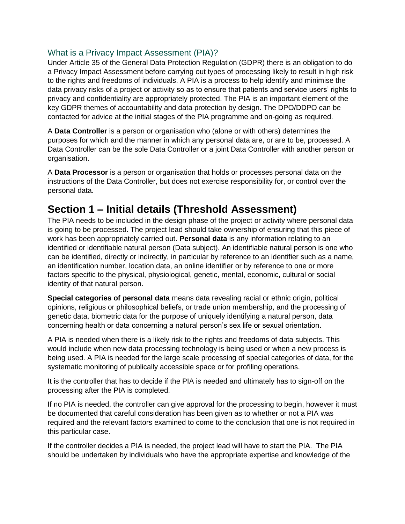### What is a Privacy Impact Assessment (PIA)?

Under Article 35 of the General Data Protection Regulation (GDPR) there is an obligation to do a Privacy Impact Assessment before carrying out types of processing likely to result in high risk to the rights and freedoms of individuals. A PIA is a process to help identify and minimise the data privacy risks of a project or activity so as to ensure that patients and service users' rights to privacy and confidentiality are appropriately protected. The PIA is an important element of the key GDPR themes of accountability and data protection by design. The DPO/DDPO can be contacted for advice at the initial stages of the PIA programme and on-going as required.

A **Data Controller** is a person or organisation who (alone or with others) determines the purposes for which and the manner in which any personal data are, or are to be, processed. A Data Controller can be the sole Data Controller or a joint Data Controller with another person or organisation.

A **Data Processor** is a person or organisation that holds or processes personal data on the instructions of the Data Controller, but does not exercise responsibility for, or control over the personal data.

# **Section 1 – Initial details (Threshold Assessment)**

The PIA needs to be included in the design phase of the project or activity where personal data is going to be processed. The project lead should take ownership of ensuring that this piece of work has been appropriately carried out. **Personal data** is any information relating to an identified or identifiable natural person (Data subject). An identifiable natural person is one who can be identified, directly or indirectly, in particular by reference to an identifier such as a name, an identification number, location data, an online identifier or by reference to one or more factors specific to the physical, physiological, genetic, mental, economic, cultural or social identity of that natural person.

**Special categories of personal data** means data revealing racial or ethnic origin, political opinions, religious or philosophical beliefs, or trade union membership, and the processing of genetic data, biometric data for the purpose of uniquely identifying a natural person, data concerning health or data concerning a natural person's sex life or sexual orientation.

A PIA is needed when there is a likely risk to the rights and freedoms of data subjects. This would include when new data processing technology is being used or when a new process is being used. A PIA is needed for the large scale processing of special categories of data, for the systematic monitoring of publically accessible space or for profiling operations.

It is the controller that has to decide if the PIA is needed and ultimately has to sign-off on the processing after the PIA is completed.

If no PIA is needed, the controller can give approval for the processing to begin, however it must be documented that careful consideration has been given as to whether or not a PIA was required and the relevant factors examined to come to the conclusion that one is not required in this particular case.

If the controller decides a PIA is needed, the project lead will have to start the PIA. The PIA should be undertaken by individuals who have the appropriate expertise and knowledge of the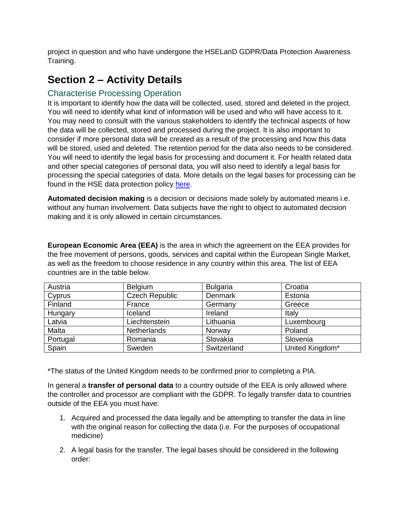project in question and who have undergone the HSELanD GDPR/Data Protection Awareness Training.

# **Section 2 – Activity Details**

### Characterise Processing Operation

It is important to identify how the data will be collected, used, stored and deleted in the project. You will need to identify what kind of information will be used and who will have access to it. You may need to consult with the various stakeholders to identify the technical aspects of how the data will be collected, stored and processed during the project. It is also important to consider if more personal data will be created as a result of the processing and how this data will be stored, used and deleted. The retention period for the data also needs to be considered. You will need to identify the legal basis for processing and document it. For health related data and other special categories of personal data, you will also need to identify a legal basis for processing the special categories of data. More details on the legal bases for processing can be found in the HSE data protection policy [here.](https://www.hse.ie/eng/gdpr/hse-data-protection-policy/hse-data-protection-policy-v1-0.pdf)

**Automated decision making** is a decision or decisions made solely by automated means i.e. without any human involvement. Data subjects have the right to object to automated decision making and it is only allowed in certain circumstances.

**European Economic Area (EEA)** is the area in which the agreement on the EEA provides for the free movement of persons, goods, services and capital within the European Single Market, as well as the freedom to choose residence in any country within this area. The list of EEA countries are in the table below.

| Austria  | Belgium               | <b>Bulgaria</b> | Croatia         |
|----------|-----------------------|-----------------|-----------------|
| Cyprus   | <b>Czech Republic</b> | Denmark         | Estonia         |
| Finland  | France                | Germany         | Greece          |
| Hungary  | Iceland               | Ireland         | Italy           |
| Latvia   | Liechtenstein         | Lithuania       | Luxembourg      |
| Malta    | <b>Netherlands</b>    | Norway          | Poland          |
| Portugal | Romania               | Slovakia        | Slovenia        |
| Spain    | Sweden                | Switzerland     | United Kingdom* |

\*The status of the United Kingdom needs to be confirmed prior to completing a PIA.

In general a **transfer of personal data** to a country outside of the EEA is only allowed where the controller and processor are compliant with the GDPR. To legally transfer data to countries outside of the EEA you must have:

- 1. Acquired and processed the data legally and be attempting to transfer the data in line with the original reason for collecting the data (i.e. For the purposes of occupational medicine)
- 2. A legal basis for the transfer. The legal bases should be considered in the following order: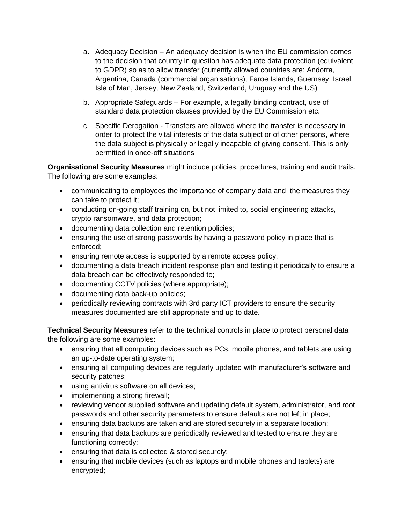- a. Adequacy Decision An adequacy decision is when the EU commission comes to the decision that country in question has adequate data protection (equivalent to GDPR) so as to allow transfer (currently allowed countries are: Andorra, Argentina, Canada (commercial organisations), Faroe Islands, Guernsey, Israel, Isle of Man, Jersey, New Zealand, Switzerland, Uruguay and the US)
- b. Appropriate Safeguards For example, a legally binding contract, use of standard data protection clauses provided by the EU Commission etc.
- c. Specific Derogation Transfers are allowed where the transfer is necessary in order to protect the vital interests of the data subject or of other persons, where the data subject is physically or legally incapable of giving consent. This is only permitted in once-off situations

**Organisational Security Measures** might include policies, procedures, training and audit trails. The following are some examples:

- communicating to employees the importance of company data and the measures they can take to protect it;
- conducting on-going staff training on, but not limited to, social engineering attacks, crypto ransomware, and data protection;
- documenting data collection and retention policies;
- ensuring the use of strong passwords by having a password policy in place that is enforced;
- **e** ensuring remote access is supported by a remote access policy;
- documenting a data breach incident response plan and testing it periodically to ensure a data breach can be effectively responded to;
- documenting CCTV policies (where appropriate);
- documenting data back-up policies;
- periodically reviewing contracts with 3rd party ICT providers to ensure the security measures documented are still appropriate and up to date.

**Technical Security Measures** refer to the technical controls in place to protect personal data the following are some examples:

- ensuring that all computing devices such as PCs, mobile phones, and tablets are using an up-to-date operating system;
- ensuring all computing devices are regularly updated with manufacturer's software and security patches;
- using antivirus software on all devices;
- implementing a strong firewall;
- reviewing vendor supplied software and updating default system, administrator, and root passwords and other security parameters to ensure defaults are not left in place;
- ensuring data backups are taken and are stored securely in a separate location;
- ensuring that data backups are periodically reviewed and tested to ensure they are functioning correctly;
- ensuring that data is collected & stored securely;
- ensuring that mobile devices (such as laptops and mobile phones and tablets) are encrypted;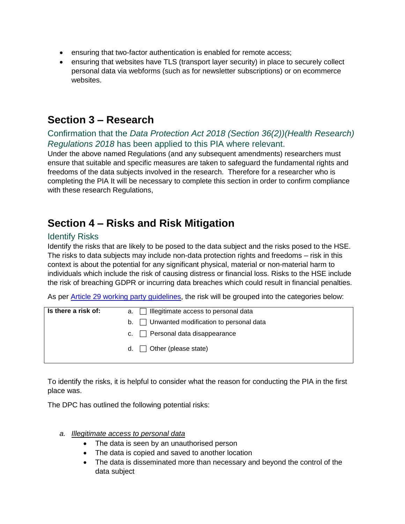- ensuring that two-factor authentication is enabled for remote access;
- ensuring that websites have TLS (transport layer security) in place to securely collect personal data via webforms (such as for newsletter subscriptions) or on ecommerce websites.

# **Section 3 – Research**

### Confirmation that the *Data Protection Act 2018 (Section 36(2))(Health Research) Regulations 2018* has been applied to this PIA where relevant.

Under the above named Regulations (and any subsequent amendments) researchers must ensure that suitable and specific measures are taken to safeguard the fundamental rights and freedoms of the data subjects involved in the research. Therefore for a researcher who is completing the PIA It will be necessary to complete this section in order to confirm compliance with these research Regulations,

# **Section 4 – Risks and Risk Mitigation**

### Identify Risks

Identify the risks that are likely to be posed to the data subject and the risks posed to the HSE. The risks to data subjects may include non-data protection rights and freedoms – risk in this context is about the potential for any significant physical, material or non-material harm to individuals which include the risk of causing distress or financial loss. Risks to the HSE include the risk of breaching GDPR or incurring data breaches which could result in financial penalties.

As per [Article 29 working party guidelines,](http://ec.europa.eu/newsroom/article29/item-detail.cfm?item_id=611236) the risk will be grouped into the categories below:

| Is there a risk of: | a. $\Box$ Illegitimate access to personal data               |
|---------------------|--------------------------------------------------------------|
|                     | $\mathsf{b}$ . $\Box$ Unwanted modification to personal data |
|                     | c. $\Box$ Personal data disappearance                        |
|                     | d. $\Box$ Other (please state)                               |

To identify the risks, it is helpful to consider what the reason for conducting the PIA in the first place was.

The DPC has outlined the following potential risks:

- *a. Illegitimate access to personal data*
	- The data is seen by an unauthorised person
	- The data is copied and saved to another location
	- The data is disseminated more than necessary and beyond the control of the data subject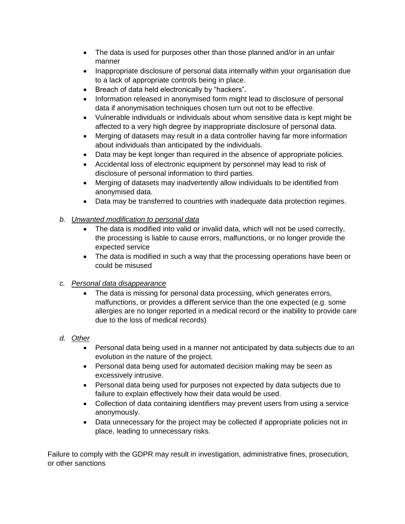- The data is used for purposes other than those planned and/or in an unfair manner
- Inappropriate disclosure of personal data internally within your organisation due to a lack of appropriate controls being in place.
- Breach of data held electronically by "hackers".
- Information released in anonymised form might lead to disclosure of personal data if anonymisation techniques chosen turn out not to be effective.
- Vulnerable individuals or individuals about whom sensitive data is kept might be affected to a very high degree by inappropriate disclosure of personal data.
- Merging of datasets may result in a data controller having far more information about individuals than anticipated by the individuals.
- Data may be kept longer than required in the absence of appropriate policies.
- Accidental loss of electronic equipment by personnel may lead to risk of disclosure of personal information to third parties.
- Merging of datasets may inadvertently allow individuals to be identified from anonymised data.
- Data may be transferred to countries with inadequate data protection regimes.

#### *b. Unwanted modification to personal data*

- The data is modified into valid or invalid data, which will not be used correctly, the processing is liable to cause errors, malfunctions, or no longer provide the expected service
- The data is modified in such a way that the processing operations have been or could be misused
- *c. Personal data disappearance* 
	- The data is missing for personal data processing, which generates errors, malfunctions, or provides a different service than the one expected (e.g. some allergies are no longer reported in a medical record or the inability to provide care due to the loss of medical records)
- *d. Other*
	- Personal data being used in a manner not anticipated by data subjects due to an evolution in the nature of the project.
	- Personal data being used for automated decision making may be seen as excessively intrusive.
	- Personal data being used for purposes not expected by data subjects due to failure to explain effectively how their data would be used.
	- Collection of data containing identifiers may prevent users from using a service anonymously.
	- Data unnecessary for the project may be collected if appropriate policies not in place, leading to unnecessary risks.

Failure to comply with the GDPR may result in investigation, administrative fines, prosecution, or other sanctions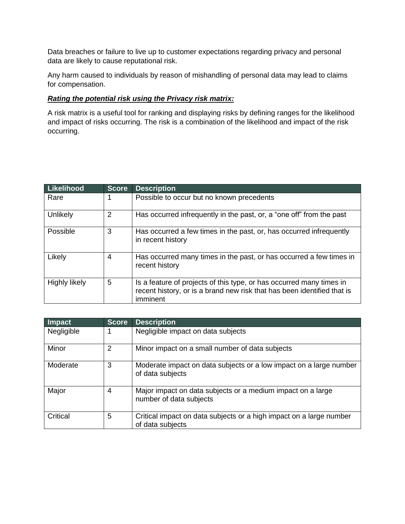Data breaches or failure to live up to customer expectations regarding privacy and personal data are likely to cause reputational risk.

Any harm caused to individuals by reason of mishandling of personal data may lead to claims for compensation.

#### *Rating the potential risk using the Privacy risk matrix:*

A risk matrix is a useful tool for ranking and displaying risks by defining ranges for the likelihood and impact of risks occurring. The risk is a combination of the likelihood and impact of the risk occurring.

| <b>Likelihood</b> | Score | <b>Description</b>                                                                                                                                          |
|-------------------|-------|-------------------------------------------------------------------------------------------------------------------------------------------------------------|
| Rare              | 1     | Possible to occur but no known precedents                                                                                                                   |
| Unlikely          | 2     | Has occurred infrequently in the past, or, a "one off" from the past                                                                                        |
| Possible          | 3     | Has occurred a few times in the past, or, has occurred infrequently<br>in recent history                                                                    |
| Likely            | 4     | Has occurred many times in the past, or has occurred a few times in<br>recent history                                                                       |
| Highly likely     | 5     | Is a feature of projects of this type, or has occurred many times in<br>recent history, or is a brand new risk that has been identified that is<br>imminent |

| <b>Impact</b> | <b>Score</b> | <b>Description</b>                                                                      |
|---------------|--------------|-----------------------------------------------------------------------------------------|
| Negligible    |              | Negligible impact on data subjects                                                      |
| Minor         | 2            | Minor impact on a small number of data subjects                                         |
| Moderate      | 3            | Moderate impact on data subjects or a low impact on a large number<br>of data subjects  |
| Major         | 4            | Major impact on data subjects or a medium impact on a large<br>number of data subjects  |
| Critical      | 5            | Critical impact on data subjects or a high impact on a large number<br>of data subjects |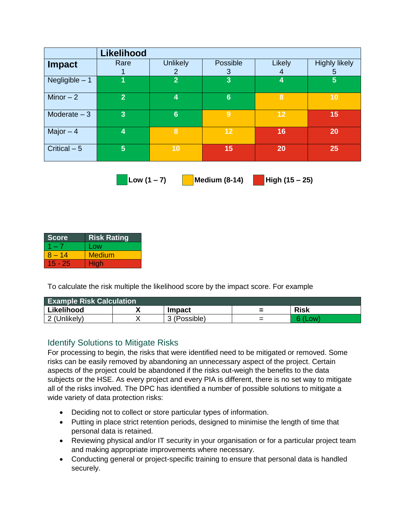|                 | <b>Likelihood</b>       |                                 |                 |                    |                           |
|-----------------|-------------------------|---------------------------------|-----------------|--------------------|---------------------------|
| <b>Impact</b>   | Rare                    | <b>Unlikely</b><br>$\mathbf{2}$ | Possible<br>3   | <b>Likely</b><br>4 | <b>Highly likely</b><br>5 |
| Negligible $-1$ |                         | $\overline{2}$                  | 3               | 4                  | $5\phantom{1}$            |
| Minor $-2$      | $\overline{2}$          | 4                               | $6\phantom{1}6$ | 8                  | 10                        |
| Moderate $-3$   | $\overline{3}$          | $6\phantom{1}6$                 | 9               | 12                 | 15                        |
| Major $-4$      | $\overline{\mathbf{4}}$ | 8                               | 12              | 16                 | 20                        |
| Critical $-5$   | 5                       | 10                              | 15              | 20                 | 25                        |

 **Low (1 – 7) Medium (8-14) High (15 – 25)**

| Score    | <b>Risk Rating</b> |
|----------|--------------------|
|          | Low                |
| $8 - 14$ | <b>Medium</b>      |
| 15 - 25  | <b>High</b>        |

To calculate the risk multiple the likelihood score by the impact score. For example

| <b>Example Risk Calculation</b> |  |               |        |             |
|---------------------------------|--|---------------|--------|-------------|
| Likelihood                      |  | <b>Impact</b> |        | <b>Risk</b> |
| 2 (Unlikely)                    |  | (Possible)    | -<br>_ |             |

### Identify Solutions to Mitigate Risks

For processing to begin, the risks that were identified need to be mitigated or removed. Some risks can be easily removed by abandoning an unnecessary aspect of the project. Certain aspects of the project could be abandoned if the risks out-weigh the benefits to the data subjects or the HSE. As every project and every PIA is different, there is no set way to mitigate all of the risks involved. The DPC has identified a number of possible solutions to mitigate a wide variety of data protection risks:

- Deciding not to collect or store particular types of information.
- Putting in place strict retention periods, designed to minimise the length of time that personal data is retained.
- Reviewing physical and/or IT security in your organisation or for a particular project team and making appropriate improvements where necessary.
- Conducting general or project-specific training to ensure that personal data is handled securely.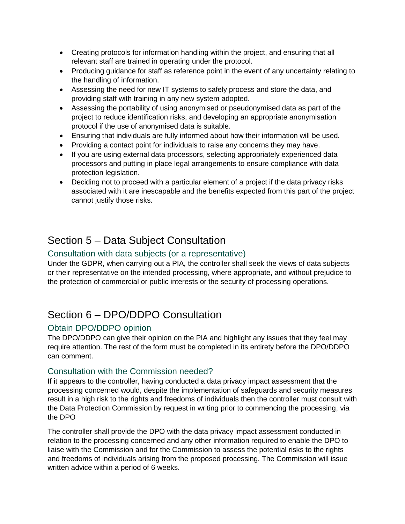- Creating protocols for information handling within the project, and ensuring that all relevant staff are trained in operating under the protocol.
- Producing guidance for staff as reference point in the event of any uncertainty relating to the handling of information.
- Assessing the need for new IT systems to safely process and store the data, and providing staff with training in any new system adopted.
- Assessing the portability of using anonymised or pseudonymised data as part of the project to reduce identification risks, and developing an appropriate anonymisation protocol if the use of anonymised data is suitable.
- Ensuring that individuals are fully informed about how their information will be used.
- Providing a contact point for individuals to raise any concerns they may have.
- If you are using external data processors, selecting appropriately experienced data processors and putting in place legal arrangements to ensure compliance with data protection legislation.
- Deciding not to proceed with a particular element of a project if the data privacy risks associated with it are inescapable and the benefits expected from this part of the project cannot justify those risks.

# Section 5 – Data Subject Consultation

### Consultation with data subjects (or a representative)

Under the GDPR, when carrying out a PIA, the controller shall seek the views of data subjects or their representative on the intended processing, where appropriate, and without prejudice to the protection of commercial or public interests or the security of processing operations.

# Section 6 – DPO/DDPO Consultation

### Obtain DPO/DDPO opinion

The DPO/DDPO can give their opinion on the PIA and highlight any issues that they feel may require attention. The rest of the form must be completed in its entirety before the DPO/DDPO can comment.

#### Consultation with the Commission needed?

If it appears to the controller, having conducted a data privacy impact assessment that the processing concerned would, despite the implementation of safeguards and security measures result in a high risk to the rights and freedoms of individuals then the controller must consult with the Data Protection Commission by request in writing prior to commencing the processing, via the DPO

The controller shall provide the DPO with the data privacy impact assessment conducted in relation to the processing concerned and any other information required to enable the DPO to liaise with the Commission and for the Commission to assess the potential risks to the rights and freedoms of individuals arising from the proposed processing. The Commission will issue written advice within a period of 6 weeks.